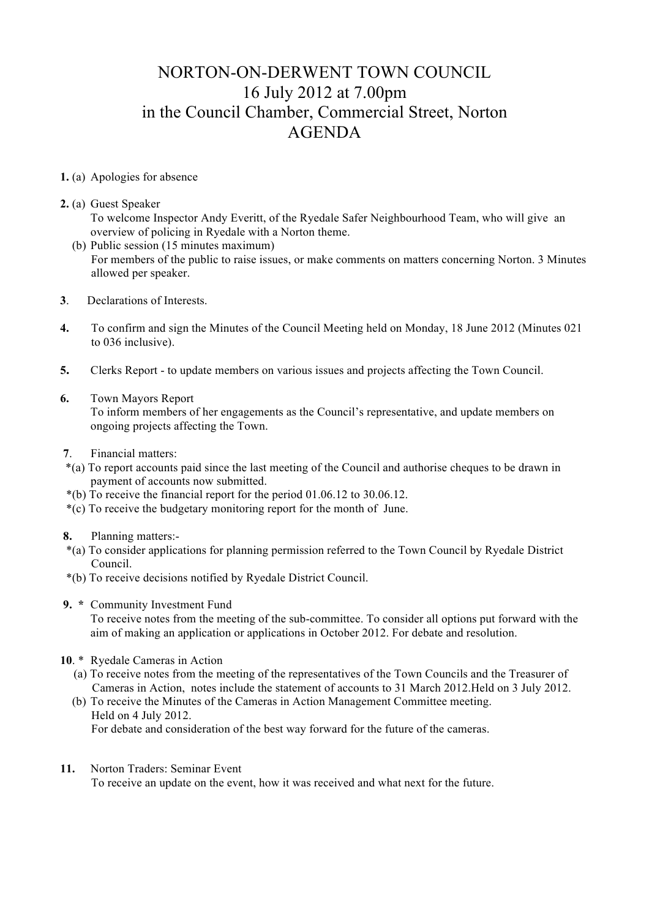## NORTON-ON-DERWENT TOWN COUNCIL 16 July 2012 at 7.00pm in the Council Chamber, Commercial Street, Norton AGENDA

- **1.** (a) Apologies for absence
- **2.** (a) Guest Speaker

To welcome Inspector Andy Everitt, of the Ryedale Safer Neighbourhood Team, who will give an overview of policing in Ryedale with a Norton theme.

- (b) Public session (15 minutes maximum) For members of the public to raise issues, or make comments on matters concerning Norton. 3 Minutes allowed per speaker.
- **3**. Declarations of Interests.
- **4.** To confirm and sign the Minutes of the Council Meeting held on Monday, 18 June 2012 (Minutes 021 to 036 inclusive).
- **5.** Clerks Report to update members on various issues and projects affecting the Town Council.
- **6.** Town Mayors Report

 To inform members of her engagements as the Council's representative, and update members on ongoing projects affecting the Town.

- **7**. Financial matters:
- \*(a) To report accounts paid since the last meeting of the Council and authorise cheques to be drawn in payment of accounts now submitted.
- \*(b) To receive the financial report for the period 01.06.12 to 30.06.12.
- \*(c) To receive the budgetary monitoring report for the month of June.
- **8.** Planning matters:-
- \*(a) To consider applications for planning permission referred to the Town Council by Ryedale District Council.
- \*(b) To receive decisions notified by Ryedale District Council.
- **9. \*** Community Investment Fund

To receive notes from the meeting of the sub-committee. To consider all options put forward with the aim of making an application or applications in October 2012. For debate and resolution.

- **10**. \* Ryedale Cameras in Action
	- (a) To receive notes from the meeting of the representatives of the Town Councils and the Treasurer of Cameras in Action, notes include the statement of accounts to 31 March 2012.Held on 3 July 2012.
- (b) To receive the Minutes of the Cameras in Action Management Committee meeting. Held on 4 July 2012. For debate and consideration of the best way forward for the future of the cameras.
- **11.** Norton Traders: Seminar Event

To receive an update on the event, how it was received and what next for the future.